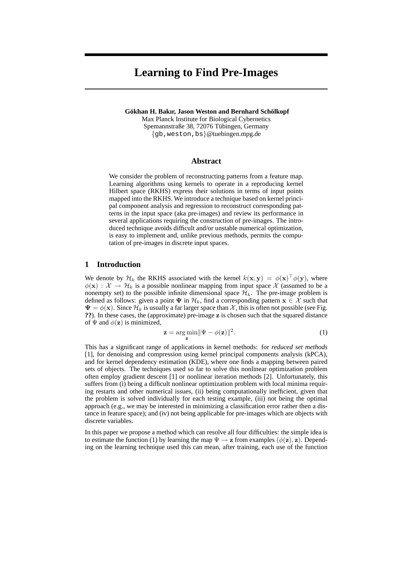# **Learning to Find Pre-Images**

**Gökhan H. Bakır, Jason Weston and Bernhard Schölkopf** Max Planck Institute for Biological Cybernetics Spemannstraße 38, 72076 Tübingen, Germany {gb,weston,bs}@tuebingen.mpg.de

## **Abstract**

We consider the problem of reconstructing patterns from a feature map. Learning algorithms using kernels to operate in a reproducing kernel Hilbert space (RKHS) express their solutions in terms of input points mapped into the RKHS. We introduce a technique based on kernel principal component analysis and regression to reconstruct corresponding patterns in the input space (aka pre-images) and review its performance in several applications requiring the construction of pre-images. The introduced technique avoids difficult and/or unstable numerical optimization, is easy to implement and, unlike previous methods, permits the computation of pre-images in discrete input spaces.

### **1 Introduction**

We denote by  $\mathcal{H}_k$  the RKHS associated with the kernel  $k(\mathbf{x}, \mathbf{y}) = \phi(\mathbf{x})^\top \phi(\mathbf{y})$ , where  $\phi(\mathbf{x}) : \mathcal{X} \to \mathcal{H}_k$  is a possible nonlinear mapping from input space X (assumed to be a nonempty set) to the possible infinite dimensional space  $\mathcal{H}_k$ . The pre-image problem is defined as follows: given a point  $\Psi$  in  $\mathcal{H}_k$ , find a corresponding pattern  $\mathbf{x} \in \mathcal{X}$  such that  $\Psi = \phi(\mathbf{x})$ . Since  $\mathcal{H}_k$  is usually a far larger space than X, this is often not possible (see Fig. **??**). In these cases, the (approximate) pre-image z is chosen such that the squared distance of  $\Psi$  and  $\phi(\mathbf{z})$  is minimized,

$$
\mathbf{z} = \underset{\mathbf{z}}{\arg \min} \|\Psi - \phi(\mathbf{z})\|^2. \tag{1}
$$

This has a significant range of applications in kernel methods: for *reduced set methods* [1], for denoising and compression using kernel principal components analysis (kPCA), and for kernel dependency estimation (KDE), where one finds a mapping between paired sets of objects. The techniques used so far to solve this nonlinear optimization problem often employ gradient descent [1] or nonlinear iteration methods [2]. Unfortunately, this suffers from (i) being a difficult nonlinear optimization problem with local minima requiring restarts and other numerical issues, (ii) being computationally inefficient, given that the problem is solved individually for each testing example, (iii) not being the optimal approach (e.g., we may be interested in minimizing a classification error rather then a distance in feature space); and (iv) not being applicable for pre-images which are objects with discrete variables.

In this paper we propose a method which can resolve all four difficulties: the simple idea is to estimate the function (1) by learning the map  $\Psi \to z$  from examples  $(\phi(z), z)$ . Depending on the learning technique used this can mean, after training, each use of the function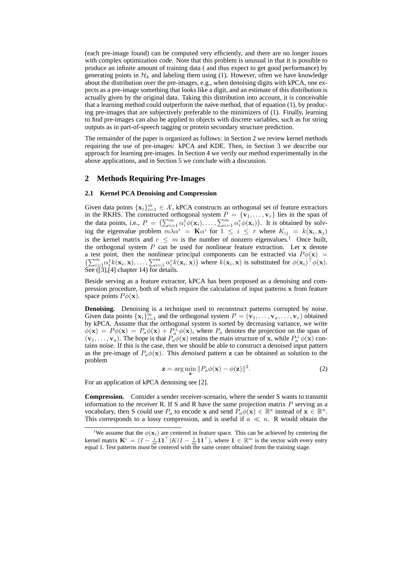(each pre-image found) can be computed very efficiently, and there are no longer issues with complex optimization code. Note that this problem is unusual in that it is possible to produce an infinite amount of training data ( and thus expect to get good performance) by generating points in  $\mathcal{H}_k$  and labeling them using (1). However, often we have knowledge about the distribution over the pre-images, e.g., when denoising digits with kPCA, one expects as a pre-image something that looks like a digit, and an estimate of this distribution is actually given by the original data. Taking this distribution into account, it is conceivable that a learning method could outperform the naive method, that of equation (1), by producing pre-images that are subjectively preferable to the minimizers of (1). Finally, learning to find pre-images can also be applied to objects with discrete variables, such as for string outputs as in part-of-speech tagging or protein secondary structure prediction.

The remainder of the paper is organized as follows: in Section 2 we review kernel methods requiring the use of pre-images: kPCA and KDE. Then, in Section 3 we describe our approach for learning pre-images. In Section 4 we verify our method experimentally in the above applications, and in Section 5 we conclude with a discussion.

### **2 Methods Requiring Pre-Images**

#### **2.1 Kernel PCA Denoising and Compression**

Given data points  $\{x_i\}_{i=1}^m \in \mathcal{X}$ , kPCA constructs an orthogonal set of feature extractors in the RKHS. The constructed orthogonal system  $P = \{v_1, \ldots, v_r\}$  lies in the span of the data points, i.e.,  $P = \left(\sum_{i=1}^m \alpha_i^{\text{T}} \phi(\mathbf{x}_i), \dots, \sum_{i=1}^m \alpha_i^{\text{T}} \phi(\mathbf{x}_i)\right)$ . It is obtained by solving the eigenvalue problem  $m\lambda \alpha^i = \mathbf{K} \alpha^i$  for  $1 \leq i \leq r$  where  $K_{ij} = k(\mathbf{x}_i, \mathbf{x}_j)$ is the kernel matrix and  $r \leq m$  is the number of nonzero eigenvalues.<sup>1</sup> Once built, the orthogonal system  $P$  can be used for nonlinear feature extraction. Let  $x$  denote a test point, then the nonlinear principal components can be extracted via  $P\phi(\mathbf{x}) =$  $\left(\sum_{i=1}^m \alpha_i^1 k(\mathbf{x}_i, \mathbf{x}), \ldots, \sum_{i=1}^m \alpha_i^r k(\mathbf{x}_i, \mathbf{x})\right)$  where  $k(\mathbf{x}_i, \mathbf{x})$  is substituted for  $\phi(\mathbf{x}_i)^\top \phi(\mathbf{x})$ . See  $(3, 4]$  chapter 14) for details.

Beside serving as a feature extractor, kPCA has been proposed as a denoising and compression procedure, both of which require the calculation of input patterns x from feature space points  $P\phi(\mathbf{x})$ .

**Denoising.** Denoising is a technique used to reconstruct patterns corrupted by noise. Given data points  $\{x_i\}_{i=1}^m$  and the orthogonal system  $P = (\mathbf{v}_1, \dots, \mathbf{v}_a, \dots, \mathbf{v}_r)$  obtained by kPCA. Assume that the orthogonal system is sorted by decreasing variance, we write  $\phi(\mathbf{x}) = P\phi(\mathbf{x}) = P_a\phi(\mathbf{x}) + P_a^{\perp}\phi(\mathbf{x})$ , where  $P_a$  denotes the projection on the span of  $(v_1, \ldots, v_a)$ . The hope is that  $P_a \phi(\mathbf{x})$  retains the main structure of x, while  $P_a^{\perp} \phi(\mathbf{x})$  contains noise. If this is the case, then we should be able to construct a denoised input pattern as the pre-image of  $P_a\phi(\mathbf{x})$ . This *denoised* pattern z can be obtained as solution to the problem

$$
\mathbf{z} = \arg\min_{\mathbf{z}} \|P_a\phi(\mathbf{x}) - \phi(\mathbf{z})\|^2.
$$
 (2)

For an application of kPCA denoising see [2].

**Compression.** Consider a sender receiver-scenario, where the sender S wants to transmit information to the receiver R. If S and R have the same projection matrix  $P$  serving as a vocabulary, then S could use  $P_a$  to encode x and send  $P_a\phi(\mathbf{x}) \in \mathbb{R}^a$  instead of  $\mathbf{x} \in \mathbb{R}^n$ . This corresponds to a lossy compression, and is useful if  $a \ll n$ . R would obtain the

<sup>&</sup>lt;sup>1</sup>We assume that the  $\phi(\mathbf{x}_i)$  are centered in feature space. This can be achieved by centering the kernel matrix  $\mathbf{K}^c = (I - \frac{1}{m}\mathbf{1}\mathbf{1}^\top)K(I - \frac{1}{m}\mathbf{1}\mathbf{1}^\top)$ , where  $\mathbf{1} \in \mathbb{R}^m$  is the vector with every entry equal 1. Test patterns must be centered with the same center obtained from the training stage.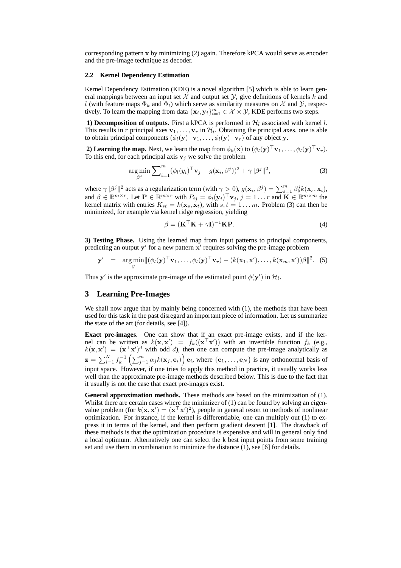corresponding pattern x by minimizing (2) again. Therefore kPCA would serve as encoder and the pre-image technique as decoder.

#### **2.2 Kernel Dependency Estimation**

Kernel Dependency Estimation (KDE) is a novel algorithm [5] which is able to learn general mappings between an input set  $\mathcal X$  and output set  $\mathcal Y$ , give definitions of kernels k and l (with feature maps  $\Phi_k$  and  $\Phi_l$ ) which serve as similarity measures on X and Y, respectively. To learn the mapping from data  $\{x_i, y_i\}_{i=1}^m \in \mathcal{X} \times \mathcal{Y}$ , KDE performs two steps.

**1) Decomposition of outputs.** First a kPCA is performed in  $\mathcal{H}_l$  associated with kernel l. This results in r principal axes  $\mathbf{v}_1, \dots, \mathbf{v}_r$  in  $\mathcal{H}_l$ . Obtaining the principal axes, one is able to obtain principal components  $(\phi_l(\mathbf{y})^\top \mathbf{v}_1, \dots, \phi_l(\mathbf{y})^\top \mathbf{v}_r)$  of any object y.

**2) Learning the map.** Next, we learn the map from  $\phi_k(\mathbf{x})$  to  $(\phi_l(\mathbf{y})^\top \mathbf{v}_1, \dots, \phi_l(\mathbf{y})^\top \mathbf{v}_r)$ . To this end, for each principal axis  $v_j$  we solve the problem

$$
\arg\min_{\beta^j} \sum_{i=1}^m (\phi_l(y_i)^\top \mathbf{v}_j - g(\mathbf{x}_i, \beta^j))^2 + \gamma \|\beta^j\|^2,
$$
\n(3)

where  $\gamma ||\beta^{j}||^{2}$  acts as a regularization term (with  $\gamma \geq 0$ ),  $g(\mathbf{x}_{i}, \beta^{j}) = \sum_{s=1}^{m} \beta_{s}^{j} k(\mathbf{x}_{s}, \mathbf{x}_{i})$ , and  $\beta \in \mathbb{R}^{m \times r}$ . Let  $\mathbf{P} \in \mathbb{R}^{m \times r}$  with  $P_{ij} = \phi_i(\mathbf{y}_i)^\top \mathbf{v}_j$ ,  $j = 1 \dots r$  and  $\mathbf{K} \in \mathbb{R}^{m \times m}$  the kernel matrix with entries  $K_{st} = k(\mathbf{x}_s, \mathbf{x}_t)$ , with  $s, t = 1...m$ . Problem (3) can then be minimized, for example via kernel ridge regression, yielding

$$
\beta = (\mathbf{K}^\top \mathbf{K} + \gamma \mathbf{I})^{-1} \mathbf{K} \mathbf{P}.
$$
\n(4)

**3) Testing Phase.** Using the learned map from input patterns to principal components, predicting an output  $y'$  for a new pattern  $x'$  requires solving the pre-image problem

$$
\mathbf{y}' = \arg\min_{\mathbf{y}} \lVert (\phi_l(\mathbf{y})^\top \mathbf{v}_1, \dots, \phi_l(\mathbf{y})^\top \mathbf{v}_r) - (k(\mathbf{x}_1, \mathbf{x}'), \dots, k(\mathbf{x}_m, \mathbf{x}'))\beta \rVert^2. (5)
$$

Thus y' is the approximate pre-image of the estimated point  $\phi(\mathbf{y}')$  in  $\mathcal{H}_l$ .

## **3 Learning Pre-Images**

We shall now argue that by mainly being concerned with (1), the methods that have been used for this task in the past disregard an important piece of information. Let us summarize the state of the art (for details, see [4]).

**Exact pre-images**. One can show that if an exact pre-image exists, and if the kernel can be written as  $k(\mathbf{x}, \mathbf{x}') = f_k((\mathbf{x}^\top \mathbf{x}'))$  with an invertible function  $f_k$  (e.g.,  $k(\mathbf{x}, \mathbf{x}') = (\mathbf{x}^\top \mathbf{x}')^d$  with odd d), then one can compute the pre-image analytically as  $\mathbf{z} = \sum_{i=1}^N f_k^{-1} \left( \sum_{j=1}^m \alpha_j k(\mathbf{x}_j, \mathbf{e}_i) \right) \mathbf{e}_i$ , where  $\{\mathbf{e}_1, \dots, \mathbf{e}_N\}$  is any orthonormal basis of input space. However, if one tries to apply this method in practice, it usually works less well than the approximate pre-image methods described below. This is due to the fact that it usually is not the case that exact pre-images exist.

**General approximation methods.** These methods are based on the minimization of (1). Whilst there are certain cases where the minimizer of  $(1)$  can be found by solving an eigenvalue problem (for  $k(x, x') = (x^\top x')^2$ ), people in general resort to methods of nonlinear optimization. For instance, if the kernel is differentiable, one can multiply out (1) to express it in terms of the kernel, and then perform gradient descent [1]. The drawback of these methods is that the optimization procedure is expensive and will in general only find a local optimum. Alternatively one can select the k best input points from some training set and use them in combination to minimize the distance (1), see [6] for details.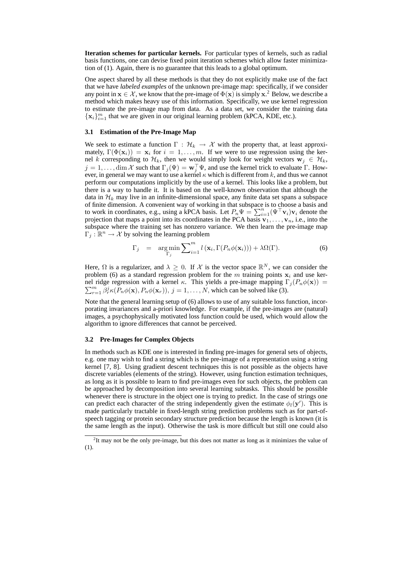**Iteration schemes for particular kernels.** For particular types of kernels, such as radial basis functions, one can devise fixed point iteration schemes which allow faster minimization of (1). Again, there is no guarantee that this leads to a global optimum.

One aspect shared by all these methods is that they do not explicitly make use of the fact that we have *labeled examples* of the unknown pre-image map: specifically, if we consider any point in  $x \in \mathcal{X}$ , we know that the pre-image of  $\Phi(x)$  is simply  $x^2$  Below, we describe a method which makes heavy use of this information. Specifically, we use kernel regression to estimate the pre-image map from data. As a data set, we consider the training data  ${x_i}_{i=1}^m$  that we are given in our original learning problem (kPCA, KDE, etc.).

#### **3.1 Estimation of the Pre-Image Map**

We seek to estimate a function  $\Gamma : \mathcal{H}_k \to \mathcal{X}$  with the property that, at least approximately,  $\Gamma(\Phi(\mathbf{x}_i)) = \mathbf{x}_i$  for  $i = 1, ..., m$ . If we were to use regression using the kernel k corresponding to  $\mathcal{H}_k$ , then we would simply look for weight vectors  $\mathbf{w}_i \in \mathcal{H}_k$ ,  $j = 1, \ldots, \dim \mathcal{X}$  such that  $\Gamma_j(\Psi) = \mathbf{w}_j^{\top} \Psi$ , and use the kernel trick to evaluate  $\Gamma$ . However, in general we may want to use a kernel  $\kappa$  which is different from k, and thus we cannot perform our computations implicitly by the use of a kernel. This looks like a problem, but there is a way to handle it. It is based on the well-known observation that although the data in  $\mathcal{H}_k$  may live in an infinite-dimensional space, any finite data set spans a subspace of finite dimension. A convenient way of working in that subspace is to choose a basis and to work in coordinates, e.g., using a kPCA basis. Let  $P_n \Psi = \sum_{i=1}^n (\Psi^\top \mathbf{v}_i) \mathbf{v}_i$  denote the projection that maps a point into its coordinates in the PCA basis  $v_1, \ldots, v_n$ , i.e., into the subspace where the training set has nonzero variance. We then learn the pre-image map  $\Gamma_j : \mathbb{R}^n \to \mathcal{X}$  by solving the learning problem

$$
\Gamma_j = \underset{\Gamma_j}{\arg \min} \sum_{i=1}^m l(\mathbf{x}_i, \Gamma(P_n \phi(\mathbf{x}_i))) + \lambda \Omega(\Gamma). \tag{6}
$$

Here,  $\Omega$  is a regularizer, and  $\lambda \geq 0$ . If X is the vector space  $\mathbb{R}^N$ , we can consider the problem (6) as a standard regression problem for the m training points  $x_i$  and use kernel ridge regression with a kernel  $\kappa$ . This yields a pre-image mapping  $\Gamma_j(P_n\phi(\mathbf{x})) =$  $\sum_{r=1}^{m} \beta_r^j \kappa(P_n \phi(\mathbf{x}), P_n \phi(\mathbf{x}_r)), j = 1, \dots, N$ , which can be solved like (3).

Note that the general learning setup of (6) allows to use of any suitable loss function, incorporating invariances and a-priori knowledge. For example, if the pre-images are (natural) images, a psychophysically motivated loss function could be used, which would allow the algorithm to ignore differences that cannot be perceived.

#### **3.2 Pre-Images for Complex Objects**

In methods such as KDE one is interested in finding pre-images for general sets of objects, e.g. one may wish to find a string which is the pre-image of a representation using a string kernel [7, 8]. Using gradient descent techniques this is not possible as the objects have discrete variables (elements of the string). However, using function estimation techniques, as long as it is possible to learn to find pre-images even for such objects, the problem can be approached by decomposition into several learning subtasks. This should be possible whenever there is structure in the object one is trying to predict. In the case of strings one can predict each character of the string independently given the estimate  $\phi_l(\mathbf{y}')$ . This is made particularly tractable in fixed-length string prediction problems such as for part-ofspeech tagging or protein secondary structure prediction because the length is known (it is the same length as the input). Otherwise the task is more difficult but still one could also

 $2$ It may not be the only pre-image, but this does not matter as long as it minimizes the value of (1).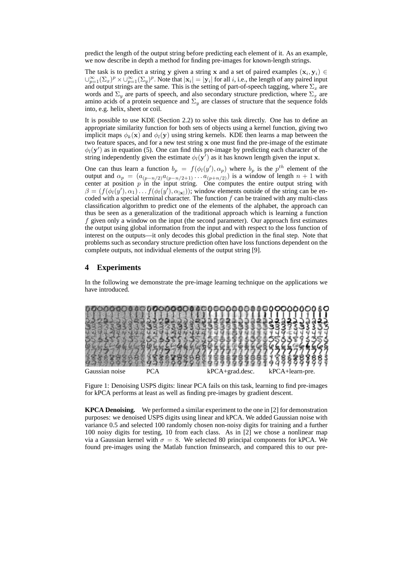predict the length of the output string before predicting each element of it. As an example, we now describe in depth a method for finding pre-images for known-length strings.

The task is to predict a string y given a string x and a set of paired examples  $(x_i, y_i) \in$  $\bigcup_{p=1}^{\infty} (\Sigma_x)^p \times \bigcup_{p=1}^{\infty} (\Sigma_y)^p$ . Note that  $|\mathbf{x}_i| = |\mathbf{y}_i|$  for all i, i.e., the length of any paired input and output strings are the same. This is the setting of part-of-speech tagging, where  $\Sigma_x$  are words and  $\Sigma_y$  are parts of speech, and also secondary structure prediction, where  $\Sigma_x$  are amino acids of a protein sequence and  $\Sigma_y$  are classes of structure that the sequence folds into, e.g. helix, sheet or coil.

It is possible to use KDE (Section 2.2) to solve this task directly. One has to define an appropriate similarity function for both sets of objects using a kernel function, giving two implicit maps  $\phi_k(\mathbf{x})$  and  $\phi_l(\mathbf{y})$  using string kernels. KDE then learns a map between the two feature spaces, and for a new test string x one must find the pre-image of the estimate  $\phi_l(\mathbf{y}')$  as in equation (5). One can find this pre-image by predicting each character of the string independently given the estimate  $\phi_l(\mathbf{y}^{\tau})$  as it has known length given the input x.

One can thus learn a function  $b_p = f(\phi_l(y'), \alpha_p)$  where  $b_p$  is the  $p^{th}$  element of the output and  $\alpha_p = (a_{(p-n/2)}a_{(p-n/2+1)} \dots a_{(p+n/2)})$  is a window of length  $n+1$  with center at position  $p$  in the input string. One computes the entire output string with  $\beta = (f(\phi_l(y'), \alpha_1) \dots f(\phi_l(y'), \alpha_{|\mathbf{x}|}))$ ; window elements outside of the string can be encoded with a special terminal character. The function  $f$  can be trained with any multi-class classification algorithm to predict one of the elements of the alphabet, the approach can thus be seen as a generalization of the traditional approach which is learning a function  $f$  given only a window on the input (the second parameter). Our approach first estimates the output using global information from the input and with respect to the loss function of interest on the outputs—it only decodes this global prediction in the final step. Note that problems such as secondary structure prediction often have loss functions dependent on the complete outputs, not individual elements of the output string [9].

## **4 Experiments**

In the following we demonstrate the pre-image learning technique on the applications we have introduced.



Figure 1: Denoising USPS digits: linear PCA fails on this task, learning to find pre-images for kPCA performs at least as well as finding pre-images by gradient descent.

**KPCA Denoising.** We performed a similar experiment to the one in [2] for demonstration purposes: we denoised USPS digits using linear and kPCA. We added Gaussian noise with variance 0.5 and selected 100 randomly chosen non-noisy digits for training and a further 100 noisy digits for testing, 10 from each class. As in [2] we chose a nonlinear map via a Gaussian kernel with  $\sigma = 8$ . We selected 80 principal components for kPCA. We found pre-images using the Matlab function fminsearch, and compared this to our pre-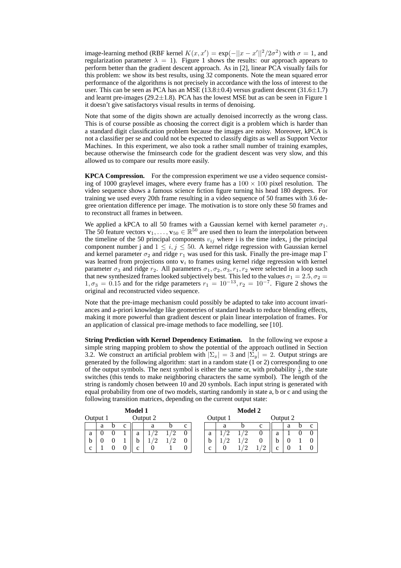image-learning method (RBF kernel  $K(x, x') = \exp(-||x - x'||^2/2\sigma^2)$  with  $\sigma = 1$ , and regularization parameter  $\lambda = 1$ . Figure 1 shows the results: our approach appears to perform better than the gradient descent approach. As in [2], linear PCA visually fails for this problem: we show its best results, using 32 components. Note the mean squared error performance of the algorithms is not precisely in accordance with the loss of interest to the user. This can be seen as PCA has an MSE (13.8 $\pm$ 0.4) versus gradient descent (31.6 $\pm$ 1.7) and learnt pre-images  $(29.2 \pm 1.8)$ . PCA has the lowest MSE but as can be seen in Figure 1 it doesn't give satisfactorys visual results in terms of denoising.

Note that some of the digits shown are actually denoised incorrectly as the wrong class. This is of course possible as choosing the correct digit is a problem which is harder than a standard digit classification problem because the images are noisy. Moreover, kPCA is not a classifier per se and could not be expected to classify digits as well as Support Vector Machines. In this experiment, we also took a rather small number of training examples, because otherwise the fminsearch code for the gradient descent was very slow, and this allowed us to compare our results more easily.

**KPCA Compression.** For the compression experiment we use a video sequence consisting of 1000 graylevel images, where every frame has a  $100 \times 100$  pixel resolution. The video sequence shows a famous science fiction figure turning his head 180 degrees. For training we used every 20th frame resulting in a video sequence of 50 frames with 3.6 degree orientation difference per image. The motivation is to store only these 50 frames and to reconstruct all frames in between.

We applied a kPCA to all 50 frames with a Gaussian kernel with kernel parameter  $\sigma_1$ . The 50 feature vectors  $\mathbf{v}_1, \ldots, \mathbf{v}_{50} \in \mathbb{R}^{50}$  are used then to learn the interpolation between the timeline of the 50 principal components  $v_{ij}$  where i is the time index, j the principal component number j and  $1 \leq i, j \leq 50$ . A kernel ridge regression with Gaussian kernel and kernel parameter  $\sigma_2$  and ridge  $r_1$  was used for this task. Finally the pre-image map Γ was learned from projections onto  $v_i$  to frames using kernel ridge regression with kernel parameter  $\sigma_3$  and ridge  $r_2$ . All parameters  $\sigma_1, \sigma_2, \sigma_3, r_1, r_2$  were selected in a loop such that new synthesized frames looked subjectively best. This led to the values  $\sigma_1 = 2.5, \sigma_2 = 1$  $1, \sigma_3 = 0.15$  and for the ridge parameters  $r_1 = 10^{-13}, r_2 = 10^{-7}$ . Figure 2 shows the original and reconstructed video sequence.

Note that the pre-image mechanism could possibly be adapted to take into account invariances and a-priori knowledge like geometries of standard heads to reduce blending effects, making it more powerful than gradient descent or plain linear interpolation of frames. For an application of classical pre-image methods to face modelling, see [10].

**String Prediction with Kernel Dependency Estimation.** In the following we expose a simple string mapping problem to show the potential of the approach outlined in Section 3.2. We construct an artificial problem with  $|\Sigma_x| = 3$  and  $|\Sigma_y| = 2$ . Output strings are generated by the following algorithm: start in a random state (1 or 2) corresponding to one of the output symbols. The next symbol is either the same or, with probability  $\frac{1}{5}$ , the state switches (this tends to make neighboring characters the same symbol). The length of the string is randomly chosen between 10 and 20 symbols. Each input string is generated with equal probability from one of two models, starting randomly in state a, b or c and using the following transition matrices, depending on the current output state:

| <b>Model 1</b> |   |  |   |   |          |   | <b>Model 2</b> |          |   |   |  |             |          |   |  |  |
|----------------|---|--|---|---|----------|---|----------------|----------|---|---|--|-------------|----------|---|--|--|
| Output 1       |   |  |   |   | Output 2 |   |                | Output 1 |   |   |  |             | Output 2 |   |  |  |
|                | a |  | C |   | a        |   | c              |          |   | a |  | $\mathbf c$ |          | a |  |  |
| a              |   |  |   | a |          |   |                |          | a |   |  |             | a        |   |  |  |
| b              |   |  |   |   |          | ↵ |                |          | b |   |  |             | b        |   |  |  |
| $\mathbf c$    |   |  |   | ⌒ |          |   |                |          | c |   |  |             | ⌒<br>◡   |   |  |  |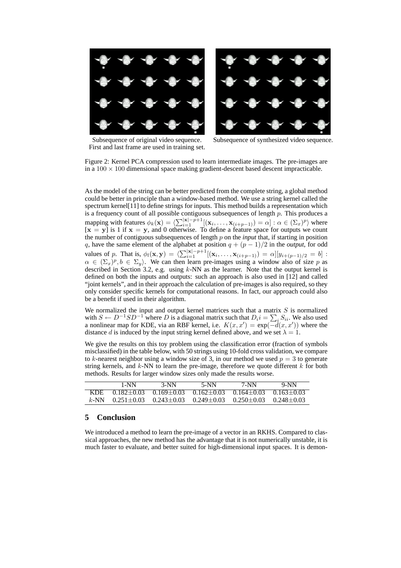

First and last frame are used in training set.

Subsequence of original video sequence. Subsequence of synthesized video sequence.

Figure 2: Kernel PCA compression used to learn intermediate images. The pre-images are in a  $100 \times 100$  dimensional space making gradient-descent based descent impracticable.

As the model of the string can be better predicted from the complete string, a global method could be better in principle than a window-based method. We use a string kernel called the spectrum kernel[11] to define strings for inputs. This method builds a representation which is a frequency count of all possible contiguous subsequences of length  $\bar{p}$ . This produces a mapping with features  $\phi_k(\mathbf{x}) = \langle \sum_{i=1}^{|\mathbf{x}|-p+1} [(\mathbf{x}_i, \dots, \mathbf{x}_{(i+p-1)}) = \alpha] : \alpha \in (\Sigma_x)^p \rangle$  where  $[x = y]$  is 1 if  $x = y$ , and 0 otherwise. To define a feature space for outputs we count the number of contiguous subsequences of length p on the *input* that, if starting in position q, have the same element of the alphabet at position  $q + (p - 1)/2$  in the *output*, for odd values of p. That is,  $\phi_l(\mathbf{x}, \mathbf{y}) = \left( \sum_{i=1}^{|\mathbf{x}|-p+1} [(\mathbf{x}_i, ..., \mathbf{x}_{i+p-1})] = \alpha \right) [y_{i+(p-1)/2} = b]$ :  $\alpha \in (\Sigma_x)^p$ ,  $b \in \Sigma_y$ ). We can then learn pre-images using a window also of size p as described in Section 3.2, e.g. using  $k$ -NN as the learner. Note that the output kernel is defined on both the inputs and outputs: such an approach is also used in [12] and called "joint kernels", and in their approach the calculation of pre-images is also required, so they only consider specific kernels for computational reasons. In fact, our approach could also be a benefit if used in their algorithm.

We normalized the input and output kernel matrices such that a matrix  $S$  is normalized with  $S \leftarrow D^{-1}SD^{-1}$  where D is a diagonal matrix such that  $D_i i = \sum_i S_{ii}$ . We also used a nonlinear map for KDE, via an RBF kernel, i.e.  $K(x, x') = \exp(-d(x, x'))$  where the distance d is induced by the input string kernel defined above, and we set  $\lambda = 1$ .

We give the results on this toy problem using the classification error (fraction of symbols misclassified) in the table below, with 50 strings using 10-fold cross validation, we compare to k-nearest neighbor using a window size of 3, in our method we used  $p = 3$  to generate string kernels, and  $k$ -NN to learn the pre-image, therefore we quote different  $k$  for both methods. Results for larger window sizes only made the results worse.

|         | $1-NN$ | $3-NN$                                 | 5-NN | $7-NN$                                                                     | $9-NN$ |
|---------|--------|----------------------------------------|------|----------------------------------------------------------------------------|--------|
| KDE.    |        | $0.182+0.03$ $0.169+0.03$ $0.162+0.03$ |      | $0.164 + 0.03$ $0.163 + 0.03$                                              |        |
| $k$ -NN |        |                                        |      | $0.251 + 0.03$ $0.243 + 0.03$ $0.249 + 0.03$ $0.250 + 0.03$ $0.248 + 0.03$ |        |

# **5 Conclusion**

We introduced a method to learn the pre-image of a vector in an RKHS. Compared to classical approaches, the new method has the advantage that it is not numerically unstable, it is much faster to evaluate, and better suited for high-dimensional input spaces. It is demon